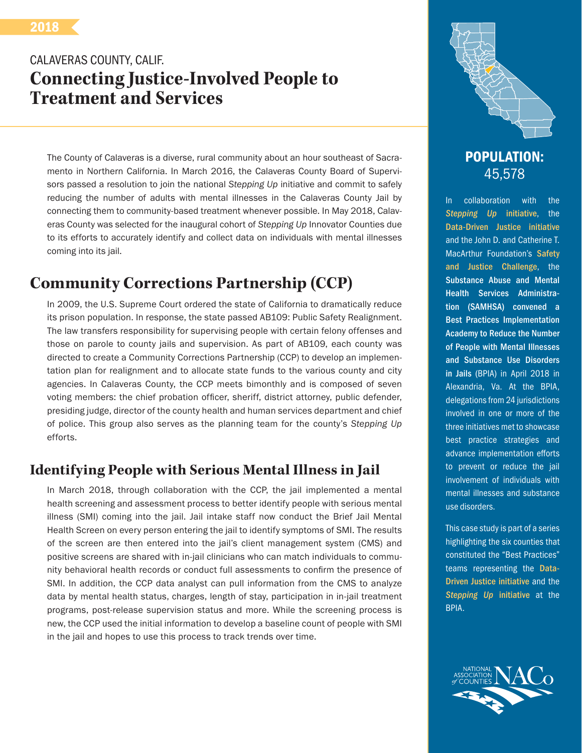# CALAVERAS COUNTY, CALIF. **Connecting Justice-Involved People to Treatment and Services**

The County of Calaveras is a diverse, rural community about an hour southeast of Sacramento in Northern California. In March 2016, the Calaveras County Board of Supervisors passed a resolution to join the national *Stepping Up* initiative and commit to safely reducing the number of adults with mental illnesses in the Calaveras County Jail by connecting them to community-based treatment whenever possible. In May 2018, Calaveras County was selected for the inaugural cohort of *Stepping Up* Innovator Counties due to its efforts to accurately identify and collect data on individuals with mental illnesses coming into its jail.

# **Community Corrections Partnership (CCP)**

In 2009, the U.S. Supreme Court ordered the state of California to dramatically reduce its prison population. In response, the state passed AB109: Public Safety Realignment. The law transfers responsibility for supervising people with certain felony offenses and those on parole to county jails and supervision. As part of AB109, each county was directed to create a Community Corrections Partnership (CCP) to develop an implementation plan for realignment and to allocate state funds to the various county and city agencies. In Calaveras County, the CCP meets bimonthly and is composed of seven voting members: the chief probation officer, sheriff, district attorney, public defender, presiding judge, director of the county health and human services department and chief of police. This group also serves as the planning team for the county's *Stepping Up* efforts.

### **Identifying People with Serious Mental Illness in Jail**

In March 2018, through collaboration with the CCP, the jail implemented a mental health screening and assessment process to better identify people with serious mental illness (SMI) coming into the jail. Jail intake staff now conduct the Brief Jail Mental Health Screen on every person entering the jail to identify symptoms of SMI. The results of the screen are then entered into the jail's client management system (CMS) and positive screens are shared with in-jail clinicians who can match individuals to community behavioral health records or conduct full assessments to confirm the presence of SMI. In addition, the CCP data analyst can pull information from the CMS to analyze data by mental health status, charges, length of stay, participation in in-jail treatment programs, post-release supervision status and more. While the screening process is new, the CCP used the initial information to develop a baseline count of people with SMI in the jail and hopes to use this process to track trends over time.



### POPULATION: 45,578

In collaboration with the *[Stepping Up](http://www.stepuptogether.org/)* initiative, the [Data-Driven Justice initiative](http://www.naco.org/Data-Driven-Justice) and the John D. and Catherine T. MacArthur Foundation's [Safety](http://www.safetyandjusticechallenge.org/)  [and Justice Challenge](http://www.safetyandjusticechallenge.org/), the Substance Abuse and Mental Health Services Administration (SAMHSA) convened a Best Practices Implementation Academy to Reduce the Number of People with Mental Illnesses and Substance Use Disorders in Jails (BPIA) in April 2018 in Alexandria, Va. At the BPIA, delegations from 24 jurisdictions involved in one or more of the three initiatives met to showcase best practice strategies and advance implementation efforts to prevent or reduce the jail involvement of individuals with mental illnesses and substance use disorders.

This case study is part of a series highlighting the six counties that constituted the "Best Practices" teams representing the [Data-](http://www.naco.org/Data-Driven-Justice)[Driven Justice initiative](http://www.naco.org/Data-Driven-Justice) and the *[Stepping Up](http://www.stepuptogether.org/)* initiative at the BPIA.